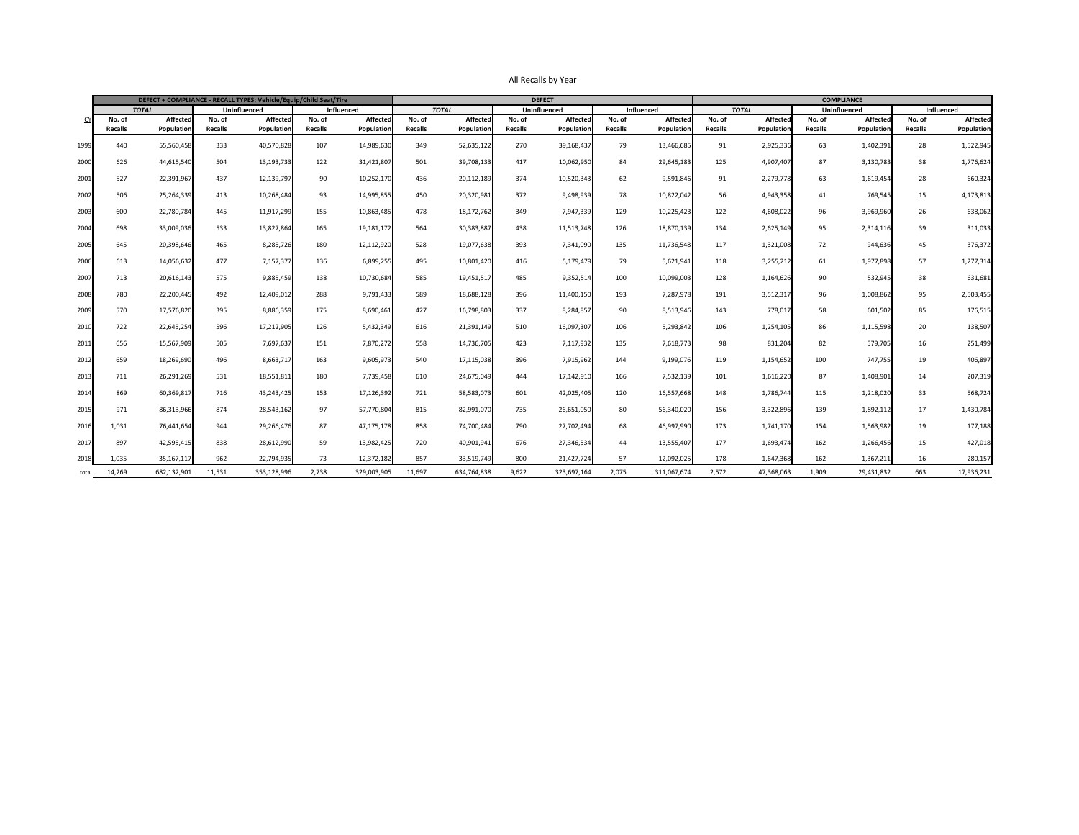|                  |                | DEFECT + COMPLIANCE - RECALL TYPES: Vehicle/Equip/Child Seat/Tire |                |                     |                |                   |                |                 |                | <b>DEFECT</b>       |                | <b>COMPLIANCE</b> |                |                 |                |                 |                   |                   |
|------------------|----------------|-------------------------------------------------------------------|----------------|---------------------|----------------|-------------------|----------------|-----------------|----------------|---------------------|----------------|-------------------|----------------|-----------------|----------------|-----------------|-------------------|-------------------|
|                  | <b>TOTAL</b>   |                                                                   |                | <b>Uninfluenced</b> |                | <b>Influenced</b> |                | <b>TOTAL</b>    |                | <b>Uninfluenced</b> |                | <b>Influenced</b> |                | <b>TOTAL</b>    | Uninfluenced   |                 | <b>Influenced</b> |                   |
|                  | No. of         | <b>Affected</b>                                                   | No. of         | <b>Affected</b>     | No. of         | <b>Affected</b>   | No. of         | <b>Affected</b> | No. of         | <b>Affected</b>     | No. of         | <b>Affected</b>   | No. of         | <b>Affected</b> | No. of         | <b>Affected</b> | No. of            | <b>Affected</b>   |
|                  | <b>Recalls</b> | Population                                                        | <b>Recalls</b> | Population          | <b>Recalls</b> | Population        | <b>Recalls</b> | Population      | <b>Recalls</b> | Population          | <b>Recalls</b> | Population        | <b>Recalls</b> | Population      | <b>Recalls</b> | Population      | <b>Recalls</b>    | <b>Population</b> |
| 1999             | 440            | 55,560,458                                                        | 333            | 40,570,828          | 107            | 14,989,630        | 349            | 52,635,122      | 270            | 39,168,437          | 79             | 13,466,685        | 91             | 2,925,336       | 63             | 1,402,391       | 28                | 1,522,945         |
| 2000             | 626            | 44,615,540                                                        | 504            | 13,193,733          | 122            | 31,421,807        | 501            | 39,708,133      | 417            | 10,062,950          | 84             | 29,645,183        | 125            | 4,907,407       | 87             | 3,130,783       | 38                | 1,776,624         |
| 2001             | 527            | 22,391,967                                                        | 437            | 12,139,797          | 90             | 10,252,170        | 436            | 20,112,189      | 374            | 10,520,343          | 62             | 9,591,846         | 91             | 2,279,778       | 63             | 1,619,454       | 28                | 660,324           |
| 2002             | 506            | 25,264,339                                                        | 413            | 10,268,484          | 93             | 14,995,855        | 450            | 20,320,981      | 372            | 9,498,939           | 78             | 10,822,042        | 56             | 4,943,358       | 41             | 769,545         | 15                | 4,173,813         |
| 2003             | 600            | 22,780,784                                                        | 445            | 11,917,299          | 155            | 10,863,485        | 478            | 18,172,762      | 349            | 7,947,339           | 129            | 10,225,423        | 122            | 4,608,022       | 96             | 3,969,960       | 26                | 638,062           |
| 2004             | 698            | 33,009,036                                                        | 533            | 13,827,864          | 165            | 19,181,172        | 564            | 30,383,887      | 438            | 11,513,748          | 126            | 18,870,139        | 134            | 2,625,149       | 95             | 2,314,116       | 39                | 311,033           |
| 2005             | 645            | 20,398,646                                                        | 465            | 8,285,726           | 180            | 12,112,920        | 528            | 19,077,638      | 393            | 7,341,090           | 135            | 11,736,548        | 117            | 1,321,008       | 72             | 944,636         | 45                | 376,372           |
| 2006             | 613            | 14,056,632                                                        | 477            | 7,157,377           | 136            | 6,899,255         | 495            | 10,801,420      | 416            | 5,179,479           | 79             | 5,621,941         | 118            | 3,255,212       | 61             | 1,977,898       | 57                | 1,277,314         |
| 200              | 713            | 20,616,143                                                        | 575            | 9,885,459           | 138            | 10,730,684        | 585            | 19,451,517      | 485            | 9,352,514           | 100            | 10,099,003        | 128            | 1,164,626       | 90             | 532,945         | 38                | 631,681           |
| 2008             | 780            | 22,200,445                                                        | 492            | 12,409,012          | 288            | 9,791,433         | 589            | 18,688,128      | 396            | 11,400,150          | 193            | 7,287,978         | 191            | 3,512,317       | 96             | 1,008,862       | 95                | 2,503,455         |
| 2009             | 570            | 17,576,820                                                        | 395            | 8,886,359           | 175            | 8,690,461         | 427            | 16,798,803      | 337            | 8,284,857           | 90             | 8,513,946         | 143            | 778,01          | 58             | 601,502         | 85                | 176,515           |
| 2010             | 722            | 22,645,254                                                        | 596            | 17,212,905          | 126            | 5,432,349         | 616            | 21,391,149      | 510            | 16,097,307          | 106            | 5,293,842         | 106            | 1,254,105       | 86             | 1,115,598       | 20                | 138,507           |
| 2011             | 656            | 15,567,909                                                        | 505            | 7,697,637           | 151            | 7,870,272         | 558            | 14,736,705      | 423            | 7,117,932           | 135            | 7,618,773         | 98             | 831,204         | 82             | 579,705         | 16                | 251,499           |
| 2012             | 659            | 18,269,690                                                        | 496            | 8,663,717           | 163            | 9,605,973         | 540            | 17,115,038      | 396            | 7,915,962           | 144            | 9,199,076         | 119            | 1,154,652       | 100            | 747,755         | 19                | 406,897           |
| 2013             | 711            | 26,291,269                                                        | 531            | 18,551,811          | 180            | 7,739,458         | 610            | 24,675,049      | 444            | 17,142,910          | 166            | 7,532,139         | 101            | 1,616,220       | 87             | 1,408,901       | 14                | 207,319           |
| 201              | 869            | 60,369,817                                                        | 716            | 43,243,425          | 153            | 17,126,392        | 721            | 58,583,073      | 601            | 42,025,405          | 120            | 16,557,668        | 148            | 1,786,744       | 115            | 1,218,020       | 33                | 568,724           |
| 2015             | 971            | 86,313,966                                                        | 874            | 28,543,162          | 97             | 57,770,804        | 815            | 82,991,070      | 735            | 26,651,050          | 80             | 56,340,020        | 156            | 3,322,896       | 139            | 1,892,112       | 17                | 1,430,784         |
| 201              | 1,031          | 76,441,654                                                        | 944            | 29,266,476          | 87             | 47,175,178        | 858            | 74,700,484      | 790            | 27,702,494          | 68             | 46,997,990        | 173            | 1,741,170       | 154            | 1,563,982       | 19                | 177,188           |
| 201 <sup>-</sup> | 897            | 42,595,415                                                        | 838            | 28,612,990          | 59             | 13,982,425        | 720            | 40,901,941      | 676            | 27,346,534          | 44             | 13,555,407        | 177            | 1,693,474       | 162            | 1,266,456       | 15                | 427,018           |
| 2018             | 1,035          | 35, 167, 117                                                      | 962            | 22,794,935          | 73             | 12,372,182        | 857            | 33,519,749      | 800            | 21,427,724          | 57             | 12,092,025        | 178            | 1,647,368       | 162            | 1,367,211       | 16                | 280,157           |
| total            | 14,269         | 682,132,901                                                       | 11,531         | 353,128,996         | 2,738          | 329,003,905       | 11,697         | 634,764,838     | 9,622          | 323,697,164         | 2,075          | 311,067,674       | 2,572          | 47,368,063      | 1,909          | 29,431,832      | 663               | 17,936,231        |

## All Recalls by Year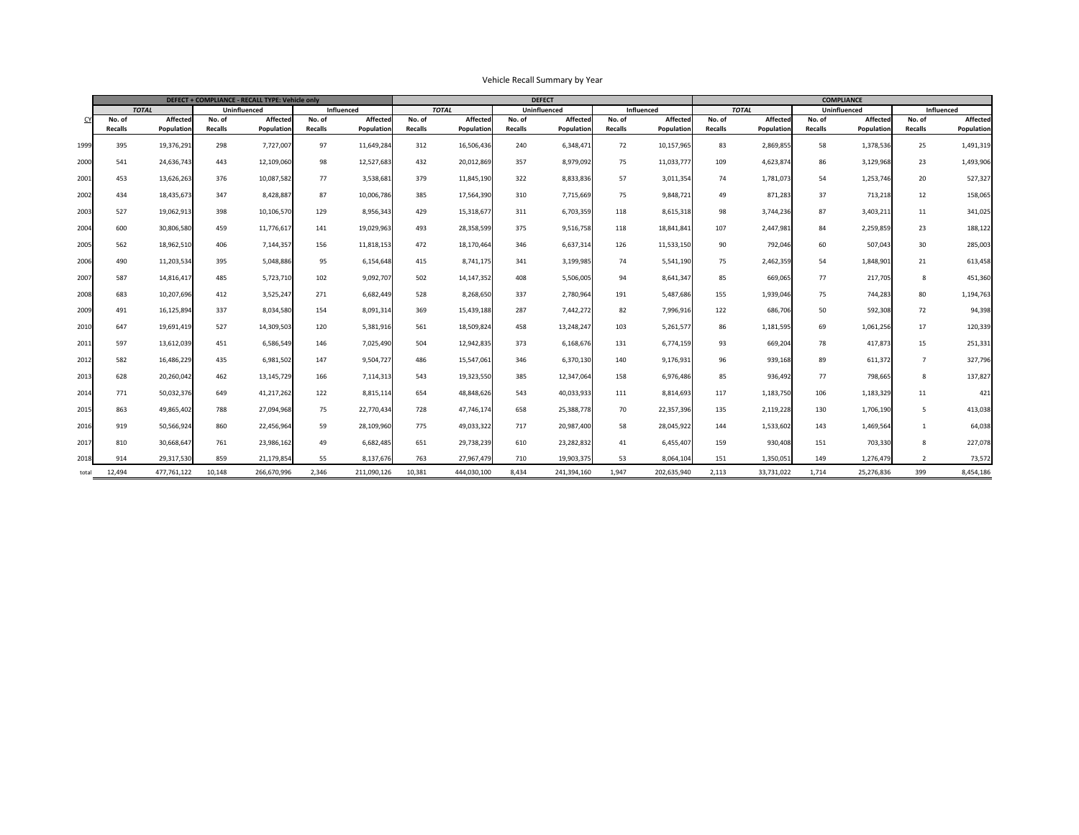|       |                |                 |                | DEFECT + COMPLIANCE - RECALL TYPE: Vehicle only |                |                   |                |                 |                | <b>DEFECT</b>   |                |                 | <b>COMPLIANCE</b> |              |                     |                 |                   |                   |  |
|-------|----------------|-----------------|----------------|-------------------------------------------------|----------------|-------------------|----------------|-----------------|----------------|-----------------|----------------|-----------------|-------------------|--------------|---------------------|-----------------|-------------------|-------------------|--|
|       | <b>TOTAL</b>   |                 |                | Uninfluenced                                    |                | <b>Influenced</b> |                | <b>TOTAL</b>    |                | Uninfluenced    |                | Influenced      |                   | <b>TOTAL</b> | <b>Uninfluenced</b> |                 | <b>Influenced</b> |                   |  |
|       | No. of         | <b>Affected</b> | No. of         | <b>Affected</b>                                 | No. of         | Affectec          | No. of         | <b>Affected</b> | No. of         | <b>Affected</b> | No. of         | <b>Affected</b> | No. of            | Affected     | No. of              | <b>Affected</b> | No. of            | <b>Affected</b>   |  |
|       | <b>Recalls</b> | Population      | <b>Recalls</b> | Population                                      | <b>Recalls</b> | Population        | <b>Recalls</b> | Population      | <b>Recalls</b> | Population      | <b>Recalls</b> | Population      | <b>Recalls</b>    | Population   | <b>Recalls</b>      | Population      | <b>Recalls</b>    | <b>Population</b> |  |
| 1999  | 395            | 19,376,291      | 298            | 7,727,007                                       | 97             | 11,649,284        | 312            | 16,506,436      | 240            | 6,348,471       | 72             | 10,157,965      | 83                | 2,869,855    | 58                  | 1,378,536       | 25                | 1,491,319         |  |
| 2000  | 541            | 24,636,743      | 443            | 12,109,060                                      | 98             | 12,527,683        | 432            | 20,012,869      | 357            | 8,979,092       | 75             | 11,033,777      | 109               | 4,623,874    | 86                  | 3,129,968       | 23                | 1,493,906         |  |
| 200   | 453            | 13,626,263      | 376            | 10,087,582                                      | 77             | 3,538,681         | 379            | 11,845,190      | 322            | 8,833,836       | 57             | 3,011,354       | 74                | 1,781,073    | 54                  | 1,253,746       | 20                | 527,327           |  |
| 2002  | 434            | 18,435,673      | 347            | 8,428,887                                       | 87             | 10,006,786        | 385            | 17,564,390      | 310            | 7,715,669       | 75             | 9,848,721       | 49                | 871,283      | 37                  | 713,218         | 12                | 158,065           |  |
| 2003  | 527            | 19,062,913      | 398            | 10,106,570                                      | 129            | 8,956,343         | 429            | 15,318,677      | 311            | 6,703,359       | 118            | 8,615,318       | 98                | 3,744,236    | 87                  | 3,403,211       | 11                | 341,025           |  |
| 2004  | 600            | 30,806,580      | 459            | 11,776,617                                      | 141            | 19,029,963        | 493            | 28,358,599      | 375            | 9,516,758       | 118            | 18,841,841      | 107               | 2,447,981    | 84                  | 2,259,859       | 23                | 188,122           |  |
| 2005  | 562            | 18,962,510      | 406            | 7,144,357                                       | 156            | 11,818,153        | 472            | 18,170,464      | 346            | 6,637,314       | 126            | 11,533,150      | 90                | 792,046      | 60                  | 507,043         | 30                | 285,003           |  |
| 2006  | 490            | 11,203,534      | 395            | 5,048,886                                       | 95             | 6,154,648         | 415            | 8,741,175       | 341            | 3,199,985       | 74             | 5,541,190       | 75                | 2,462,359    | 54                  | 1,848,901       | 21                | 613,458           |  |
| 2007  | 587            | 14,816,417      | 485            | 5,723,710                                       | 102            | 9,092,707         | 502            | 14, 147, 352    | 408            | 5,506,005       | 94             | 8,641,347       | 85                | 669,065      | 77                  | 217,705         | 8                 | 451,360           |  |
| 2008  | 683            | 10,207,696      | 412            | 3,525,247                                       | 271            | 6,682,449         | 528            | 8,268,650       | 337            | 2,780,964       | 191            | 5,487,686       | 155               | 1,939,046    | 75                  | 744,283         | 80                | 1,194,763         |  |
| 2009  | 491            | 16,125,894      | 337            | 8,034,580                                       | 154            | 8,091,314         | 369            | 15,439,188      | 287            | 7,442,272       | 82             | 7,996,916       | 122               | 686,706      | 50                  | 592,308         | 72                | 94,398            |  |
| 2010  | 647            | 19,691,419      | 527            | 14,309,503                                      | 120            | 5,381,916         | 561            | 18,509,824      | 458            | 13,248,247      | 103            | 5,261,577       | 86                | 1,181,595    | 69                  | 1,061,256       | 17                | 120,339           |  |
| 201   | 597            | 13,612,039      | 451            | 6,586,549                                       | 146            | 7,025,490         | 504            | 12,942,835      | 373            | 6,168,676       | 131            | 6,774,159       | 93                | 669,204      | 78                  | 417,873         | 15                | 251,331           |  |
| 2012  | 582            | 16,486,229      | 435            | 6,981,502                                       | 147            | 9,504,727         | 486            | 15,547,061      | 346            | 6,370,130       | 140            | 9,176,931       | 96                | 939,168      | 89                  | 611,372         |                   | 327,796           |  |
| 2013  | 628            | 20,260,042      | 462            | 13, 145, 729                                    | 166            | 7,114,313         | 543            | 19,323,550      | 385            | 12,347,064      | 158            | 6,976,486       | 85                | 936,492      | 77                  | 798,665         | 8                 | 137,827           |  |
| 2014  | 771            | 50,032,376      | 649            | 41,217,262                                      | 122            | 8,815,114         | 654            | 48,848,626      | 543            | 40,033,933      | 111            | 8,814,693       | 117               | 1,183,750    | 106                 | 1,183,329       | 11                | 421               |  |
| 2015  | 863            | 49,865,402      | 788            | 27,094,968                                      | 75             | 22,770,434        | 728            | 47,746,174      | 658            | 25,388,778      | 70             | 22,357,396      | 135               | 2,119,228    | 130                 | 1,706,190       | 5                 | 413,038           |  |
| 2016  | 919            | 50,566,924      | 860            | 22,456,964                                      | 59             | 28,109,960        | 775            | 49,033,322      | 717            | 20,987,400      | 58             | 28,045,922      | 144               | 1,533,602    | 143                 | 1,469,564       |                   | 64,038            |  |
| 2017  | 810            | 30,668,647      | 761            | 23,986,162                                      | 49             | 6,682,485         | 651            | 29,738,239      | 610            | 23, 282, 832    | 41             | 6,455,407       | 159               | 930,408      | 151                 | 703,330         | 8                 | 227,078           |  |
| 2018  | 914            | 29,317,530      | 859            | 21,179,854                                      | 55             | 8,137,676         | 763            | 27,967,479      | 710            | 19,903,375      | 53             | 8,064,104       | 151               | 1,350,051    | 149                 | 1,276,479       |                   | 73,572            |  |
| total | 12,494         | 477,761,122     | 10,148         | 266,670,996                                     | 2,346          | 211,090,126       | 10,381         | 444,030,100     | 8,434          | 241,394,160     | 1,947          | 202,635,940     | 2,113             | 33,731,022   | 1,714               | 25,276,836      | 399               | 8,454,186         |  |

## Vehicle Recall Summary by Year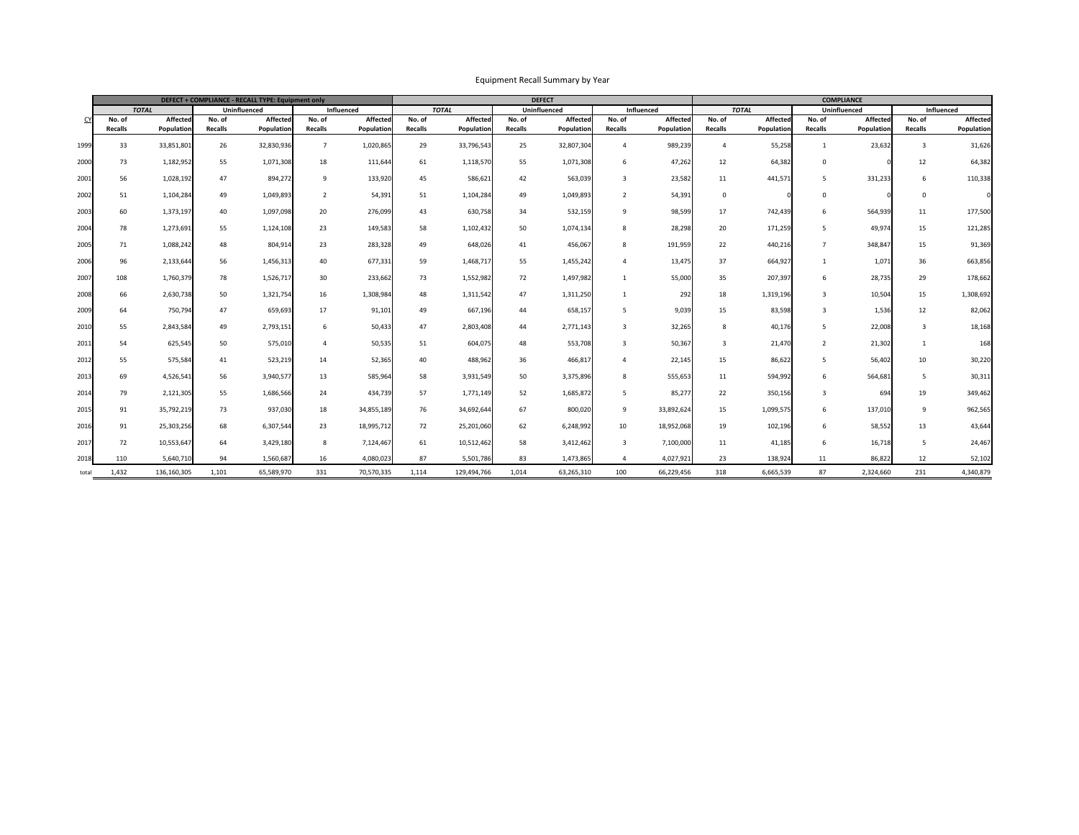| DEFECT + COMPLIANCE - RECALL TYPE: Equipment only |                |                                     |                |                   |                 |                 |                |                 |                     | <b>DEFECT</b>   |                   | <b>COMPLIANCE</b> |                |                   |                |                   |                |                 |
|---------------------------------------------------|----------------|-------------------------------------|----------------|-------------------|-----------------|-----------------|----------------|-----------------|---------------------|-----------------|-------------------|-------------------|----------------|-------------------|----------------|-------------------|----------------|-----------------|
|                                                   |                | <b>Uninfluenced</b><br><b>TOTAL</b> |                | <b>Influenced</b> |                 |                 | <b>TOTAL</b>   |                 | <b>Uninfluenced</b> |                 | <b>Influenced</b> |                   | <b>TOTAL</b>   | Uninfluenced      |                | <b>Influenced</b> |                |                 |
|                                                   | No. of         | <b>Affected</b>                     | No. of         | <b>Affected</b>   | No. of          | <b>Affected</b> | No. of         | <b>Affected</b> | No. of              | <b>Affected</b> | No. of            | <b>Affected</b>   | No. of         | <b>Affected</b>   | No. of         | <b>Affected</b>   | No. of         | <b>Affected</b> |
|                                                   | <b>Recalls</b> | Population                          | <b>Recalls</b> | <b>Population</b> | <b>Recalls</b>  | Population      | <b>Recalls</b> | Population      | <b>Recalls</b>      | Population      | <b>Recalls</b>    | <b>Population</b> | <b>Recalls</b> | <b>Population</b> | <b>Recalls</b> | Population        | <b>Recalls</b> | Population      |
| 1999                                              | 33             | 33,851,801                          | 26             | 32,830,936        |                 | 1,020,865       | 29             | 33,796,543      | 25                  | 32,807,304      |                   | 989,239           |                | 55,258            |                | 23,632            |                | 31,626          |
| 2000                                              | 73             | 1,182,952                           | 55             | 1,071,308         | 18              | 111,644         | 61             | 1,118,570       | 55                  | 1,071,308       | 6                 | 47,262            | 12             | 64,382            |                |                   | 12             | 64,382          |
| 2001                                              | 56             | 1,028,192                           | 47             | 894,272           | 9               | 133,920         | 45             | 586,621         | 42                  | 563,039         | $\overline{3}$    | 23,582            | 11             | 441,571           |                | 331,233           | 6              | 110,338         |
| 2002                                              | 51             | 1,104,284                           | 49             | 1,049,893         |                 | 54,391          | 51             | 1,104,284       | 49                  | 1,049,893       |                   | 54,391            |                |                   |                |                   |                |                 |
| 2003                                              | 60             | 1,373,197                           | 40             | 1,097,098         | 20              | 276,099         | 43             | 630,758         | 34                  | 532,159         | - q               | 98,599            | 17             | 742,439           |                | 564,939           | 11             | 177,500         |
| 2004                                              | 78             | 1,273,691                           | 55             | 1,124,108         | 23              | 149,583         | 58             | 1,102,432       | 50                  | 1,074,134       | 8                 | 28,298            | 20             | 171,259           |                | 49,974            | 15             | 121,285         |
| 2005                                              | 71             | 1,088,242                           | 48             | 804,914           | 23              | 283,328         | 49             | 648,026         | 41                  | 456,067         |                   | 191,959           | 22             | 440,216           |                | 348,847           | 15             | 91,369          |
| 2006                                              | 96             | 2,133,644                           | 56             | 1,456,313         | 40              | 677,331         | 59             | 1,468,717       | 55                  | 1,455,242       |                   | 13,475            | 37             | 664,927           |                | 1,071             | 36             | 663,856         |
| 2007                                              | 108            | 1,760,379                           | 78             | 1,526,717         | 30 <sup>°</sup> | 233,662         | 73             | 1,552,982       | 72                  | 1,497,982       |                   | 55,000            | 35             | 207,397           |                | 28,735            | 29             | 178,662         |
| 2008                                              | 66             | 2,630,738                           | 50             | 1,321,754         | 16              | 1,308,984       | 48             | 1,311,542       | 47                  | 1,311,250       |                   | 292               | 18             | 1,319,196         |                | 10,504            | 15             | 1,308,692       |
| 2009                                              | 64             | 750,794                             | 47             | 659,693           | 17              | 91,10           | 49             | 667,196         | 44                  | 658,157         |                   | 9,039             | 15             | 83,598            |                | 1,536             | 12             | 82,062          |
| 2010                                              | 55             | 2,843,584                           | 49             | 2,793,151         |                 | 50,433          | 47             | 2,803,408       | 44                  | 2,771,143       |                   | 32,265            |                | 40,176            |                | 22,008            |                | 18,168          |
| 2011                                              | 54             | 625,545                             | 50             | 575,010           | 4               | 50,535          | 51             | 604,075         | 48                  | 553,708         | $\overline{3}$    | 50,367            |                | 21,470            |                | 21,302            |                | 168             |
| 2012                                              | 55             | 575,584                             | 41             | 523,219           | 14              | 52,365          | 40             | 488,962         | 36                  | 466,817         |                   | 22,145            | 15             | 86,622            |                | 56,402            | 10             | 30,220          |
| 2013                                              | 69             | 4,526,541                           | 56             | 3,940,577         | 13              | 585,964         | 58             | 3,931,549       | 50                  | 3,375,896       | 8                 | 555,653           | 11             | 594,992           | 6              | 564,681           | 5              | 30,311          |
| 2014                                              | 79             | 2,121,305                           | 55             | 1,686,566         | 24              | 434,739         | 57             | 1,771,149       | 52                  | 1,685,872       | -5                | 85,277            | 22             | 350,156           |                | 694               | 19             | 349,462         |
| 2015                                              | 91             | 35,792,219                          | 73             | 937,030           | 18              | 34,855,189      | 76             | 34,692,644      | 67                  | 800,020         | 9                 | 33,892,624        | 15             | 1,099,575         | 6              | 137,010           | 9              | 962,565         |
| 2016                                              | 91             | 25,303,256                          | 68             | 6,307,544         | 23              | 18,995,712      | 72             | 25,201,060      | 62                  | 6,248,992       | 10                | 18,952,068        | 19             | 102,196           | 6              | 58,552            | 13             | 43,644          |
| 2017                                              | 72             | 10,553,647                          | 64             | 3,429,180         | 8               | 7,124,467       | 61             | 10,512,462      | 58                  | 3,412,462       | $\overline{3}$    | 7,100,000         | 11             | 41,185            | 6              | 16,718            | $\overline{5}$ | 24,467          |
| 2018                                              | 110            | 5,640,710                           | 94             | 1,560,687         | 16              | 4,080,023       | 87             | 5,501,786       | 83                  | 1,473,865       |                   | 4,027,921         | 23             | 138,924           | 11             | 86,822            | 12             | 52,102          |
| total                                             | 1,432          | 136,160,305                         | 1,101          | 65,589,970        | 331             | 70,570,335      | 1,114          | 129,494,766     | 1,014               | 63,265,310      | 100               | 66,229,456        | 318            | 6,665,539         | 87             | 2,324,660         | 231            | 4,340,879       |

## Equipment Recall Summary by Year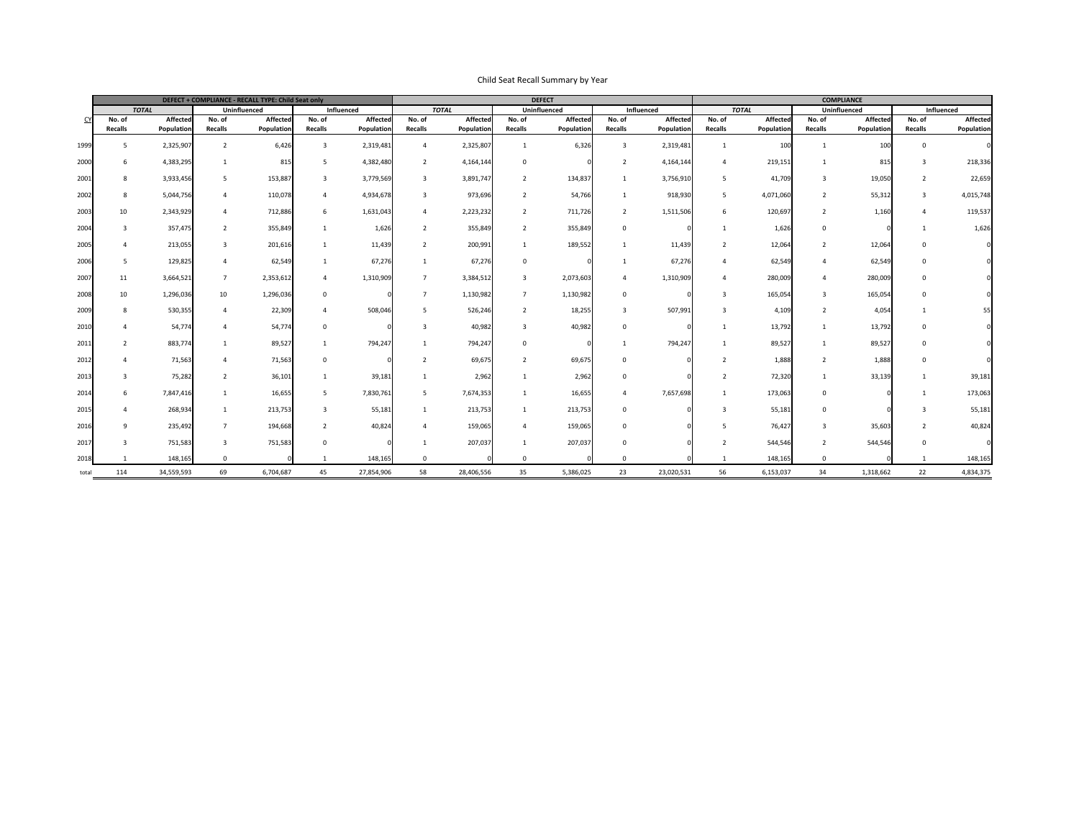```
Affected
        Population
Influenced
```

|              |                |                   |                     | DEFECT + COMPLIANCE - RECALL TYPE: Child Seat only |                   |                   |                 |                 |                     | <b>DEFECT</b>     |                | <b>COMPLIANCE</b> |                |                     |                |                   |                |            |
|--------------|----------------|-------------------|---------------------|----------------------------------------------------|-------------------|-------------------|-----------------|-----------------|---------------------|-------------------|----------------|-------------------|----------------|---------------------|----------------|-------------------|----------------|------------|
| <b>TOTAL</b> |                |                   | <b>Uninfluenced</b> |                                                    | <b>Influenced</b> |                   | <b>TOTAL</b>    |                 | <b>Uninfluenced</b> |                   | Influenced     |                   | <b>TOTAL</b>   | <b>Uninfluenced</b> |                | Influenced        |                |            |
|              | No. of         | <b>Affected</b>   | No. of              | <b>Affected</b>                                    | No. of            | <b>Affected</b>   | No. of          | <b>Affected</b> | No. of              | <b>Affected</b>   | No. of         | <b>Affected</b>   | No. of         | Affected            | No. of         | <b>Affected</b>   | No. of         | Affected   |
|              | <b>Recalls</b> | <b>Population</b> | <b>Recalls</b>      | <b>Population</b>                                  | <b>Recalls</b>    | <b>Population</b> | <b>Recalls</b>  | Population      | <b>Recalls</b>      | <b>Population</b> | <b>Recalls</b> | <b>Population</b> | <b>Recalls</b> | Population          | <b>Recalls</b> | <b>Population</b> | <b>Recalls</b> | Population |
| 1999         |                | 2,325,907         |                     | 6,426                                              | $\overline{3}$    | 2,319,481         | 4               | 2,325,807       |                     | 6,326             |                | 2,319,481         |                | 100                 |                | 100               | $\Omega$       |            |
| 2000         | 6              | 4,383,295         |                     | 815                                                | 5                 | 4,382,480         | $\overline{2}$  | 4,164,144       | $\overline{0}$      |                   |                | 4,164,144         |                | 219,151             |                | 815               | $\overline{3}$ | 218,336    |
| 2001         | 8              | 3,933,456         |                     | 153,887                                            | 3                 | 3,779,569         | $\overline{3}$  | 3,891,747       | $\overline{2}$      | 134,837           |                | 3,756,910         |                | 41,709              | 3              | 19,050            | $\overline{2}$ | 22,659     |
| 2002         | 8              | 5,044,756         |                     | 110,078                                            | 4                 | 4,934,678         | $\overline{3}$  | 973,696         |                     | 54,766            |                | 918,930           |                | 4,071,060           |                | 55,312            | $\overline{3}$ | 4,015,748  |
| 2003         | 10             | 2,343,929         |                     | 712,886                                            | 6                 | 1,631,043         | $\overline{4}$  | 2,223,232       | $\overline{2}$      | 711,726           |                | 1,511,506         |                | 120,697             |                | 1,160             |                | 119,537    |
| 2004         |                | 357,475           |                     | 355,849                                            |                   | 1,626             | $\overline{2}$  | 355,849         | $\overline{2}$      | 355,849           |                |                   |                | 1,626               |                |                   |                | 1,626      |
| 2005         |                | 213,055           |                     | 201,616                                            |                   | 11,439            | $\overline{2}$  | 200,991         |                     | 189,552           |                | 11,439            |                | 12,064              |                | 12,064            | $\Omega$       |            |
| 2006         | 5              | 129,825           |                     | 62,549                                             |                   | 67,276            |                 | 67,276          | $\overline{0}$      |                   |                | 67,276            |                | 62,549              |                | 62,549            | $\overline{0}$ |            |
| 2007         | 11             | 3,664,521         | $\overline{ }$      | 2,353,612                                          | $\overline{4}$    | 1,310,909         | $\overline{7}$  | 3,384,512       | $\overline{3}$      | 2,073,603         |                | 1,310,909         |                | 280,009             |                | 280,009           | $\mathbf 0$    |            |
| 2008         | 10             | 1,296,036         | 10                  | 1,296,036                                          | $\overline{0}$    |                   |                 | 1,130,982       |                     | 1,130,982         |                |                   |                | 165,054             | $\mathcal{B}$  | 165,054           | $\overline{0}$ |            |
| 2009         | 8              | 530,355           |                     | 22,309                                             | 4                 | 508,046           | 5               | 526,246         |                     | 18,255            |                | 507,991           |                | 4,109               |                | 4,054             |                |            |
| 2010         |                | 54,774            |                     | 54,774                                             | $\mathbf{0}$      |                   |                 | 40,982          |                     | 40,982            |                |                   |                | 13,792              |                | 13,792            | $\mathbf{0}$   |            |
| 2011         |                | 883,774           |                     | 89,527                                             | $\mathbf{1}$      | 794,247           | $\mathbf{1}$    | 794,247         | $\overline{0}$      |                   |                | 794,247           |                | 89,527              |                | 89,527            | $\overline{0}$ |            |
| 2012         |                | 71,563            |                     | 71,563                                             | $\overline{0}$    |                   |                 | 69,675          | $\overline{2}$      | 69,675            |                |                   |                | 1,888               |                | 1,888             | $\overline{0}$ |            |
| 2013         |                | 75,282            | $\overline{2}$      | 36,101                                             | $\overline{1}$    | 39,181            |                 | 2,962           |                     | 2,962             | $\Omega$       |                   |                | 72,320              |                | 33,139            |                | 39,181     |
| 2014         | 6              | 7,847,416         |                     | 16,655                                             | 5 <sup>5</sup>    | 7,830,761         | $5\overline{)}$ | 7,674,353       |                     | 16,655            |                | 7,657,698         |                | 173,063             | $\mathbf 0$    |                   |                | 173,063    |
| 2015         |                | 268,934           |                     | 213,753                                            | 3 <sup>1</sup>    | 55,181            |                 | 213,753         |                     | 213,753           | $\Omega$       |                   |                | 55,181              | $\overline{0}$ |                   | $\overline{3}$ | 55,181     |
| 2016         | $\mathsf{q}$   | 235,492           | $\overline{7}$      | 194,668                                            | $2^{\circ}$       | 40,824            | $\overline{4}$  | 159,065         | $\overline{4}$      | 159,065           | $\overline{0}$ |                   |                | 76,427              | $\overline{3}$ | 35,603            | $\overline{2}$ | 40,824     |
| 2017         |                | 751,583           | $\overline{3}$      | 751,583                                            | $\overline{0}$    |                   |                 | 207,037         |                     | 207,037           |                |                   |                | 544,546             | $\overline{2}$ | 544,546           | $\overline{0}$ |            |
| 2018         |                | 148,165           | $\overline{0}$      |                                                    |                   | 148,165           |                 |                 | $\Omega$            |                   |                |                   |                | 148,165             |                |                   |                | 148,165    |
| total        | 114            | 34,559,593        | 69                  | 6,704,687                                          | 45                | 27,854,906        | 58              | 28,406,556      | 35                  | 5,386,025         | 23             | 23,020,531        | 56             | 6,153,037           | 34             | 1,318,662         | 22             | 4,834,375  |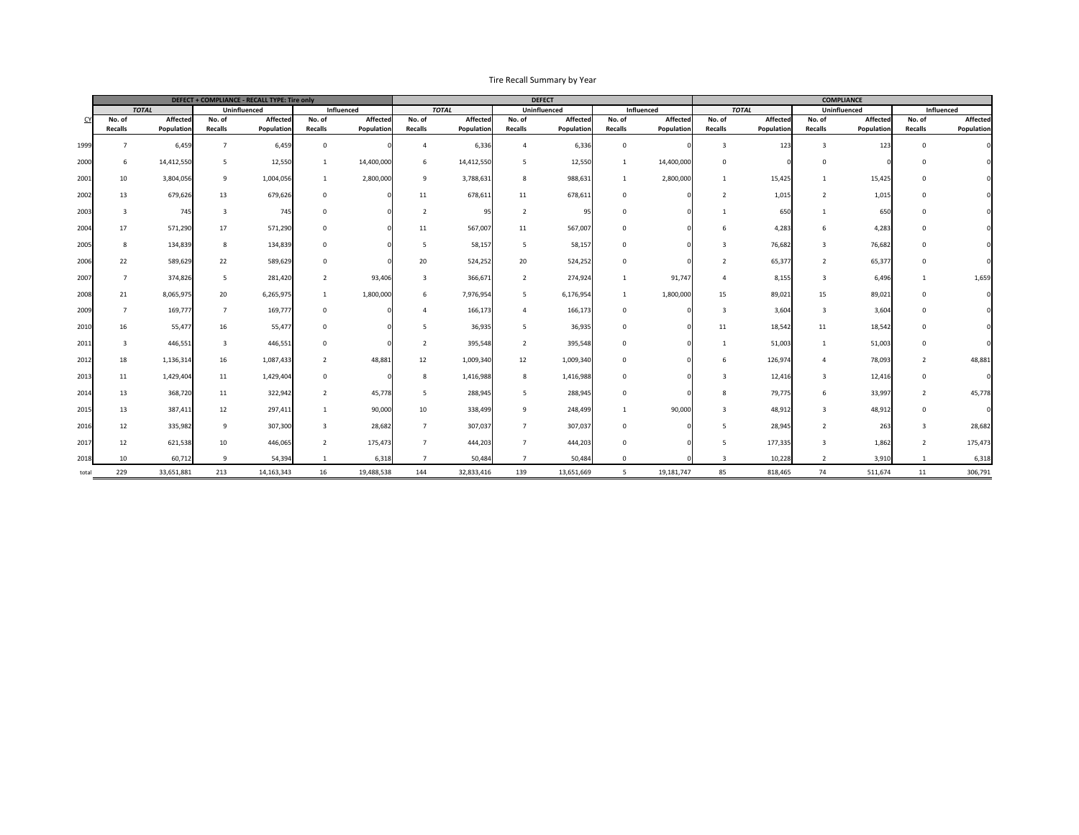| DEFECT + COMPLIANCE - RECALL TYPE: Tire only |                |                   |                 |                     |                |                   |                 |                   |                 | <b>DEFECT</b>       |                | <b>COMPLIANCE</b> |                |                 |                     |                 |                   |                   |
|----------------------------------------------|----------------|-------------------|-----------------|---------------------|----------------|-------------------|-----------------|-------------------|-----------------|---------------------|----------------|-------------------|----------------|-----------------|---------------------|-----------------|-------------------|-------------------|
|                                              | <b>TOTAL</b>   |                   |                 | <b>Uninfluenced</b> | Influenced     |                   |                 | <b>TOTAL</b>      |                 | <b>Uninfluenced</b> |                | Influenced        |                | <b>TOTAL</b>    | <b>Uninfluenced</b> |                 | <b>Influenced</b> |                   |
|                                              | No. of         | <b>Affected</b>   | No. of          | <b>Affected</b>     | No. of         | Affectec          | No. of          | <b>Affected</b>   | No. of          | Affected            | No. of         | <b>Affected</b>   | No. of         | <b>Affected</b> | No. of              | <b>Affected</b> | No. of            | <b>Affected</b>   |
|                                              | <b>Recalls</b> | <b>Population</b> | <b>Recalls</b>  | <b>Population</b>   | <b>Recalls</b> | <b>Population</b> | <b>Recalls</b>  | <b>Population</b> | <b>Recalls</b>  | Population          | <b>Recalls</b> | <b>Population</b> | <b>Recalls</b> | Population      | <b>Recalls</b>      | Population      | <b>Recalls</b>    | <b>Population</b> |
| 1999                                         |                | 6,459             |                 | 6,459               |                |                   |                 | 6,336             | $\overline{a}$  | 6,336               | $\Omega$       |                   |                | 123             |                     | 123             |                   |                   |
| 2000                                         | 6              | 14,412,550        |                 | 12,550              |                | 14,400,000        | 6               | 14,412,550        | 5               | 12,550              |                | 14,400,000        | $\Omega$       |                 |                     |                 |                   |                   |
| 2001                                         | 10             | 3,804,056         | 9               | 1,004,056           |                | 2,800,000         | 9               | 3,788,631         | 8               | 988,631             |                | 2,800,000         |                | 15,425          |                     | 15,425          |                   |                   |
| 2002                                         | 13             | 679,626           | 13              | 679,626             |                |                   | 11              | 678,611           | 11              | 678,611             | $\Omega$       |                   |                | 1,015           |                     | 1,01            |                   |                   |
| 2003                                         |                | 745               |                 | 745                 |                |                   |                 | 95 <sub>1</sub>   |                 | 95                  | $\Omega$       |                   |                | 650             |                     | 650             |                   |                   |
| 2004                                         | 17             | 571,290           | 17              | 571,290             |                |                   | 11              | 567,007           | 11              | 567,007             | $\overline{0}$ |                   |                | 4,283           |                     | 4,283           |                   |                   |
| 2005                                         |                | 134,839           | 8               | 134,839             |                |                   |                 | 58,157            |                 | 58,157              | $\Omega$       |                   |                | 76,682          |                     | 76,682          |                   |                   |
| 2006                                         | 22             | 589,629           | 22              | 589,629             |                |                   | 20              | 524,252           | 20              | 524,252             | $\overline{0}$ |                   |                | 65,377          |                     | 65,377          |                   |                   |
| 2007                                         |                | 374,826           |                 | 281,420             | $\overline{2}$ | 93,406            |                 | 366,671           | $\overline{2}$  | 274,924             |                | 91,747            |                | 8,155           |                     | 6,496           |                   | 1,659             |
| 2008                                         | 21             | 8,065,975         | 20              | 6,265,975           |                | 1,800,000         | $\sigma$        | 7,976,954         | 5               | 6,176,954           |                | 1,800,000         | 15             | 89,021          | 15                  | 89,021          |                   |                   |
| 2009                                         |                | 169,777           |                 | 169,777             |                |                   |                 | 166,173           | $\overline{4}$  | 166,173             | $\Omega$       |                   |                | 3,604           |                     | 3,60            |                   |                   |
| 2010                                         | 16             | 55,477            | 16              | 55,477              |                |                   |                 | 36,935            | 5               | 36,935              | $\overline{0}$ |                   | 11             | 18,542          | 11                  | 18,542          | $\Omega$          |                   |
| 2011                                         | $\overline{3}$ | 446,551           | $\mathbf{3}$    | 446,551             | $\overline{0}$ |                   | $\overline{2}$  | 395,548           | $2\overline{ }$ | 395,548             | $\overline{0}$ |                   |                | 51,003          |                     | 51,003          | $\overline{0}$    |                   |
| 2012                                         | 18             | 1,136,314         | 16              | 1,087,433           | $\overline{2}$ | 48,881            | 12              | 1,009,340         | 12              | 1,009,340           | $\overline{0}$ |                   |                | 126,974         |                     | 78,093          |                   | 48,881            |
| 2013                                         | 11             | 1,429,404         | 11              | 1,429,404           | $\overline{0}$ |                   | 8               | 1,416,988         | 8               | 1,416,988           | $\overline{0}$ |                   |                | 12,416          |                     | 12,416          | $\overline{0}$    |                   |
| 2014                                         | 13             | 368,720           | 11              | 322,942             | $\overline{2}$ | 45,778            | $5\overline{)}$ | 288,945           | $5\overline{)}$ | 288,945             | $\overline{0}$ |                   | -8             | 79,775          | 6                   | 33,997          | $\overline{2}$    | 45,778            |
| 2015                                         | 13             | 387,411           | 12              | 297,411             |                | 90,000            | 10              | 338,499           | 9               | 248,499             |                | 90,000            |                | 48,912          |                     | 48,912          |                   |                   |
| 2016                                         | 12             | 335,982           | 9               | 307,300             | $\overline{3}$ | 28,682            | $\overline{7}$  | 307,037           | $\overline{7}$  | 307,037             | $\overline{0}$ |                   |                | 28,945          | $\overline{2}$      | 263             | $\overline{3}$    | 28,682            |
| 2017                                         | 12             | 621,538           | 10 <sup>1</sup> | 446,065             | $2^{\circ}$    | 175,473           | $\overline{7}$  | 444,203           | $\overline{7}$  | 444,203             | $\overline{0}$ |                   |                | 177,335         | $\overline{3}$      | 1,862           |                   | 175,473           |
| 2018                                         | 10             | 60,712            | 9               | 54,394              |                | 6,318             |                 | 50,484            | $\overline{7}$  | 50,484              | $\Omega$       |                   |                | 10,228          |                     | 3,910           |                   | 6,318             |
| total                                        | 229            | 33,651,881        | 213             | 14,163,343          | 16             | 19,488,538        | 144             | 32,833,416        | 139             | 13,651,669          |                | 19,181,747        | 85             | 818,465         | 74                  | 511,674         | 11                | 306,791           |

## Tire Recall Summary by Year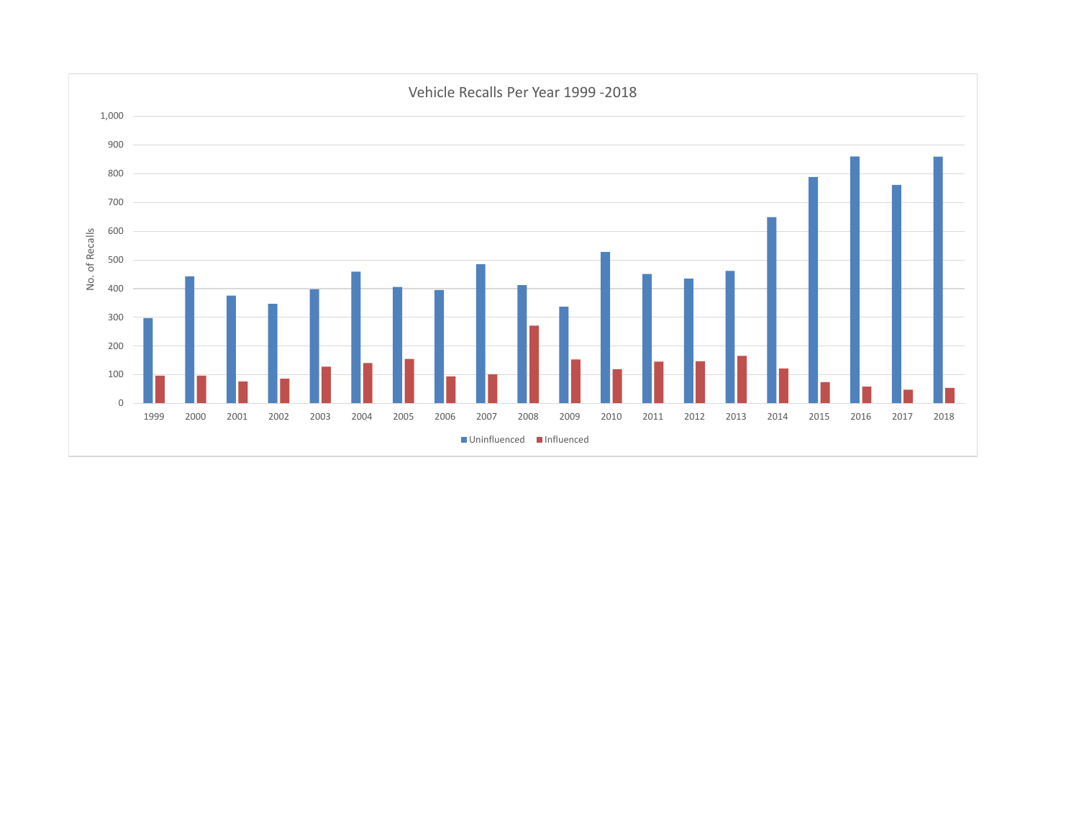